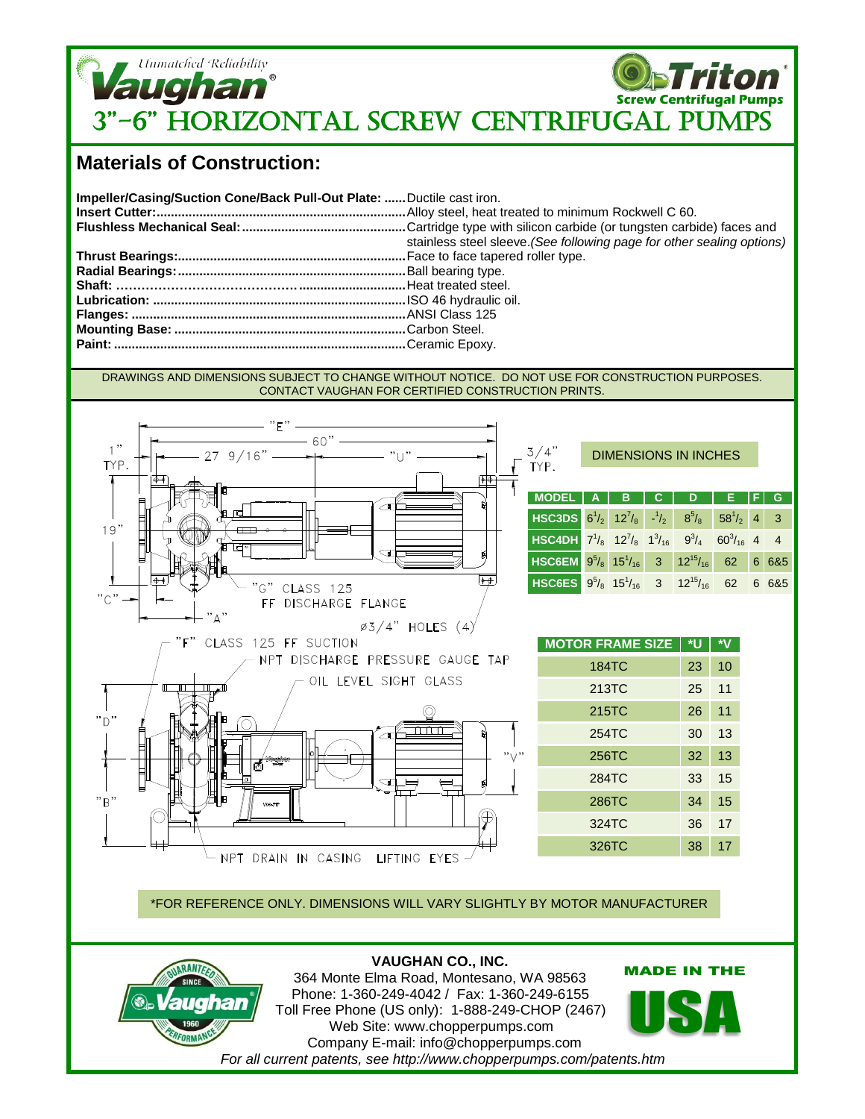